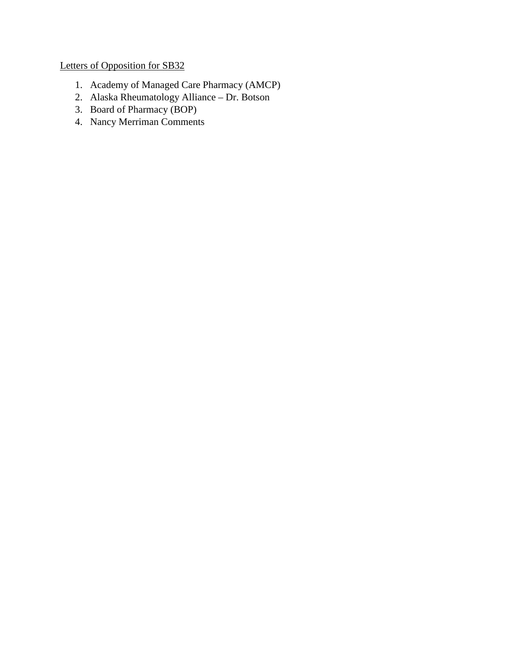# Letters of Opposition for SB32

- 1. Academy of Managed Care Pharmacy (AMCP)
- 2. Alaska Rheumatology Alliance Dr. Botson
- 3. Board of Pharmacy (BOP)
- 4. Nancy Merriman Comments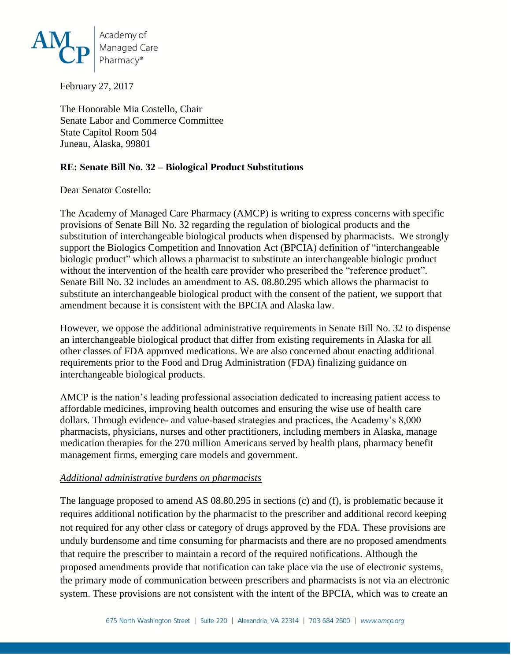

February 27, 2017

The Honorable Mia Costello, Chair Senate Labor and Commerce Committee State Capitol Room 504 Juneau, Alaska, 99801

#### **RE: Senate Bill No. 32 – Biological Product Substitutions**

Dear Senator Costello:

The Academy of Managed Care Pharmacy (AMCP) is writing to express concerns with specific provisions of Senate Bill No. 32 regarding the regulation of biological products and the substitution of interchangeable biological products when dispensed by pharmacists. We strongly support the Biologics Competition and Innovation Act (BPCIA) definition of "interchangeable biologic product" which allows a pharmacist to substitute an interchangeable biologic product without the intervention of the health care provider who prescribed the "reference product". Senate Bill No. 32 includes an amendment to AS. 08.80.295 which allows the pharmacist to substitute an interchangeable biological product with the consent of the patient, we support that amendment because it is consistent with the BPCIA and Alaska law.

However, we oppose the additional administrative requirements in Senate Bill No. 32 to dispense an interchangeable biological product that differ from existing requirements in Alaska for all other classes of FDA approved medications. We are also concerned about enacting additional requirements prior to the Food and Drug Administration (FDA) finalizing guidance on interchangeable biological products.

AMCP is the nation's leading professional association dedicated to increasing patient access to affordable medicines, improving health outcomes and ensuring the wise use of health care dollars. Through evidence- and value-based strategies and practices, the Academy's 8,000 pharmacists, physicians, nurses and other practitioners, including members in Alaska, manage medication therapies for the 270 million Americans served by health plans, pharmacy benefit management firms, emerging care models and government.

#### *Additional administrative burdens on pharmacists*

The language proposed to amend AS 08.80.295 in sections (c) and (f), is problematic because it requires additional notification by the pharmacist to the prescriber and additional record keeping not required for any other class or category of drugs approved by the FDA. These provisions are unduly burdensome and time consuming for pharmacists and there are no proposed amendments that require the prescriber to maintain a record of the required notifications. Although the proposed amendments provide that notification can take place via the use of electronic systems, the primary mode of communication between prescribers and pharmacists is not via an electronic system. These provisions are not consistent with the intent of the BPCIA, which was to create an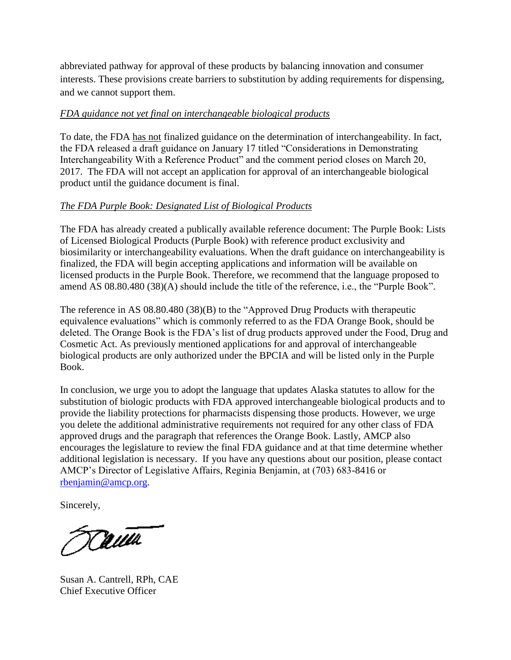abbreviated pathway for approval of these products by balancing innovation and consumer interests. These provisions create barriers to substitution by adding requirements for dispensing, and we cannot support them.

### *FDA guidance not yet final on interchangeable biological products*

To date, the FDA has not finalized guidance on the determination of interchangeability. In fact, the FDA released a draft guidance on January 17 titled "Considerations in Demonstrating Interchangeability With a Reference Product" and the comment period closes on March 20, 2017. The FDA will not accept an application for approval of an interchangeable biological product until the guidance document is final.

## *The FDA Purple Book: Designated List of Biological Products*

The FDA has already created a publically available reference document: The Purple Book: Lists of Licensed Biological Products (Purple Book) with reference product exclusivity and biosimilarity or interchangeability evaluations. When the draft guidance on interchangeability is finalized, the FDA will begin accepting applications and information will be available on licensed products in the Purple Book. Therefore, we recommend that the language proposed to amend AS 08.80.480 (38)(A) should include the title of the reference, i.e., the "Purple Book".

The reference in AS 08.80.480 (38)(B) to the "Approved Drug Products with therapeutic equivalence evaluations" which is commonly referred to as the FDA Orange Book, should be deleted. The Orange Book is the FDA's list of drug products approved under the Food, Drug and Cosmetic Act. As previously mentioned applications for and approval of interchangeable biological products are only authorized under the BPCIA and will be listed only in the Purple Book.

In conclusion, we urge you to adopt the language that updates Alaska statutes to allow for the substitution of biologic products with FDA approved interchangeable biological products and to provide the liability protections for pharmacists dispensing those products. However, we urge you delete the additional administrative requirements not required for any other class of FDA approved drugs and the paragraph that references the Orange Book. Lastly, AMCP also encourages the legislature to review the final FDA guidance and at that time determine whether additional legislation is necessary. If you have any questions about our position, please contact AMCP's Director of Legislative Affairs, Reginia Benjamin, at (703) 683-8416 or [rbenjamin@amcp.org.](mailto:rbenjamin@amcp.org)

Sincerely,

Tauta

Susan A. Cantrell, RPh, CAE Chief Executive Officer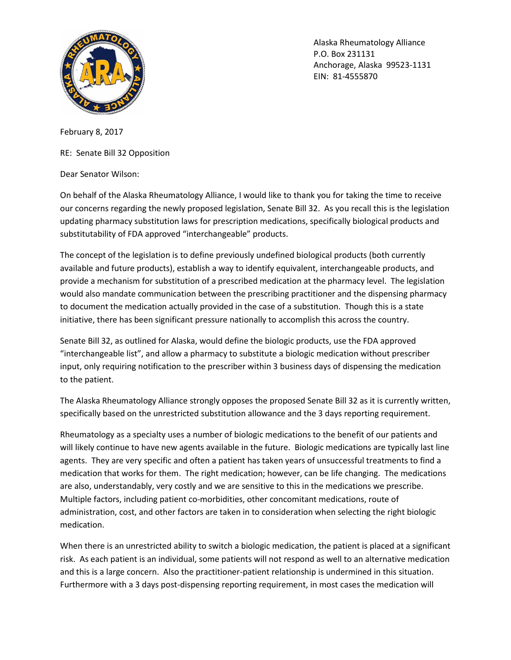

Alaska Rheumatology Alliance P.O. Box 231131 Anchorage, Alaska 99523-1131 EIN: 81-4555870

February 8, 2017

RE: Senate Bill 32 Opposition

Dear Senator Wilson:

On behalf of the Alaska Rheumatology Alliance, I would like to thank you for taking the time to receive our concerns regarding the newly proposed legislation, Senate Bill 32. As you recall this is the legislation updating pharmacy substitution laws for prescription medications, specifically biological products and substitutability of FDA approved "interchangeable" products.

The concept of the legislation is to define previously undefined biological products (both currently available and future products), establish a way to identify equivalent, interchangeable products, and provide a mechanism for substitution of a prescribed medication at the pharmacy level. The legislation would also mandate communication between the prescribing practitioner and the dispensing pharmacy to document the medication actually provided in the case of a substitution. Though this is a state initiative, there has been significant pressure nationally to accomplish this across the country.

Senate Bill 32, as outlined for Alaska, would define the biologic products, use the FDA approved "interchangeable list", and allow a pharmacy to substitute a biologic medication without prescriber input, only requiring notification to the prescriber within 3 business days of dispensing the medication to the patient.

The Alaska Rheumatology Alliance strongly opposes the proposed Senate Bill 32 as it is currently written, specifically based on the unrestricted substitution allowance and the 3 days reporting requirement.

Rheumatology as a specialty uses a number of biologic medications to the benefit of our patients and will likely continue to have new agents available in the future. Biologic medications are typically last line agents. They are very specific and often a patient has taken years of unsuccessful treatments to find a medication that works for them. The right medication; however, can be life changing. The medications are also, understandably, very costly and we are sensitive to this in the medications we prescribe. Multiple factors, including patient co-morbidities, other concomitant medications, route of administration, cost, and other factors are taken in to consideration when selecting the right biologic medication.

When there is an unrestricted ability to switch a biologic medication, the patient is placed at a significant risk. As each patient is an individual, some patients will not respond as well to an alternative medication and this is a large concern. Also the practitioner-patient relationship is undermined in this situation. Furthermore with a 3 days post-dispensing reporting requirement, in most cases the medication will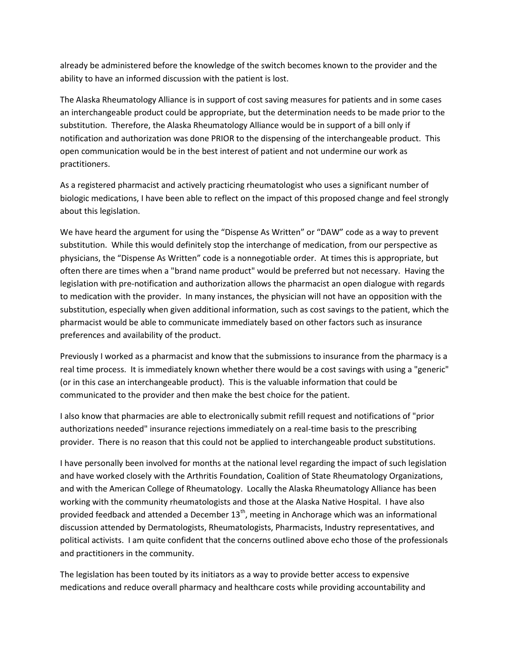already be administered before the knowledge of the switch becomes known to the provider and the ability to have an informed discussion with the patient is lost.

The Alaska Rheumatology Alliance is in support of cost saving measures for patients and in some cases an interchangeable product could be appropriate, but the determination needs to be made prior to the substitution. Therefore, the Alaska Rheumatology Alliance would be in support of a bill only if notification and authorization was done PRIOR to the dispensing of the interchangeable product. This open communication would be in the best interest of patient and not undermine our work as practitioners.

As a registered pharmacist and actively practicing rheumatologist who uses a significant number of biologic medications, I have been able to reflect on the impact of this proposed change and feel strongly about this legislation.

We have heard the argument for using the "Dispense As Written" or "DAW" code as a way to prevent substitution. While this would definitely stop the interchange of medication, from our perspective as physicians, the "Dispense As Written" code is a nonnegotiable order. At times this is appropriate, but often there are times when a "brand name product" would be preferred but not necessary. Having the legislation with pre-notification and authorization allows the pharmacist an open dialogue with regards to medication with the provider. In many instances, the physician will not have an opposition with the substitution, especially when given additional information, such as cost savings to the patient, which the pharmacist would be able to communicate immediately based on other factors such as insurance preferences and availability of the product.

Previously I worked as a pharmacist and know that the submissions to insurance from the pharmacy is a real time process. It is immediately known whether there would be a cost savings with using a "generic" (or in this case an interchangeable product). This is the valuable information that could be communicated to the provider and then make the best choice for the patient.

I also know that pharmacies are able to electronically submit refill request and notifications of "prior authorizations needed" insurance rejections immediately on a real-time basis to the prescribing provider. There is no reason that this could not be applied to interchangeable product substitutions.

I have personally been involved for months at the national level regarding the impact of such legislation and have worked closely with the Arthritis Foundation, Coalition of State Rheumatology Organizations, and with the American College of Rheumatology. Locally the Alaska Rheumatology Alliance has been working with the community rheumatologists and those at the Alaska Native Hospital. I have also provided feedback and attended a December 13<sup>th</sup>, meeting in Anchorage which was an informational discussion attended by Dermatologists, Rheumatologists, Pharmacists, Industry representatives, and political activists. I am quite confident that the concerns outlined above echo those of the professionals and practitioners in the community.

The legislation has been touted by its initiators as a way to provide better access to expensive medications and reduce overall pharmacy and healthcare costs while providing accountability and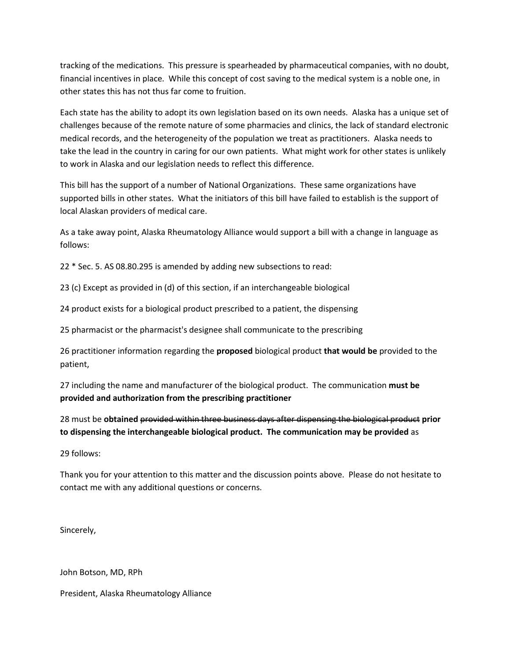tracking of the medications. This pressure is spearheaded by pharmaceutical companies, with no doubt, financial incentives in place. While this concept of cost saving to the medical system is a noble one, in other states this has not thus far come to fruition.

Each state has the ability to adopt its own legislation based on its own needs. Alaska has a unique set of challenges because of the remote nature of some pharmacies and clinics, the lack of standard electronic medical records, and the heterogeneity of the population we treat as practitioners. Alaska needs to take the lead in the country in caring for our own patients. What might work for other states is unlikely to work in Alaska and our legislation needs to reflect this difference.

This bill has the support of a number of National Organizations. These same organizations have supported bills in other states. What the initiators of this bill have failed to establish is the support of local Alaskan providers of medical care.

As a take away point, Alaska Rheumatology Alliance would support a bill with a change in language as follows:

22 \* Sec. 5. AS 08.80.295 is amended by adding new subsections to read:

23 (c) Except as provided in (d) of this section, if an interchangeable biological

24 product exists for a biological product prescribed to a patient, the dispensing

25 pharmacist or the pharmacist's designee shall communicate to the prescribing

26 practitioner information regarding the **proposed** biological product **that would be** provided to the patient,

27 including the name and manufacturer of the biological product. The communication **must be provided and authorization from the prescribing practitioner**

28 must be **obtained** provided within three business days after dispensing the biological product **prior to dispensing the interchangeable biological product. The communication may be provided** as

29 follows:

Thank you for your attention to this matter and the discussion points above. Please do not hesitate to contact me with any additional questions or concerns.

Sincerely,

John Botson, MD, RPh

President, Alaska Rheumatology Alliance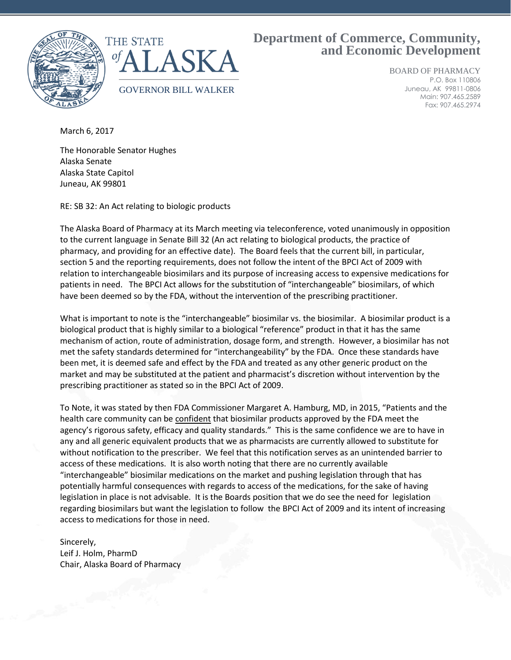

## **Department of Commerce, Community, and Economic Development**

BOARD OF PHARMACY P.O. Box 110806 Juneau, AK 99811-0806 Main: 907.465.2589 Fax: 907.465.2974

March 6, 2017

The Honorable Senator Hughes Alaska Senate Alaska State Capitol Juneau, AK 99801

RE: SB 32: An Act relating to biologic products

The Alaska Board of Pharmacy at its March meeting via teleconference, voted unanimously in opposition to the current language in Senate Bill 32 (An act relating to biological products, the practice of pharmacy, and providing for an effective date). The Board feels that the current bill, in particular, section 5 and the reporting requirements, does not follow the intent of the BPCI Act of 2009 with relation to interchangeable biosimilars and its purpose of increasing access to expensive medications for patients in need. The BPCI Act allows for the substitution of "interchangeable" biosimilars, of which have been deemed so by the FDA, without the intervention of the prescribing practitioner.

What is important to note is the "interchangeable" biosimilar vs. the biosimilar. A biosimilar product is a biological product that is highly similar to a biological "reference" product in that it has the same mechanism of action, route of administration, dosage form, and strength. However, a biosimilar has not met the safety standards determined for "interchangeability" by the FDA. Once these standards have been met, it is deemed safe and effect by the FDA and treated as any other generic product on the market and may be substituted at the patient and pharmacist's discretion without intervention by the prescribing practitioner as stated so in the BPCI Act of 2009.

To Note, it was stated by then FDA Commissioner Margaret A. Hamburg, MD, in 2015, "Patients and the health care community can be confident that biosimilar products approved by the FDA meet the agency's rigorous safety, efficacy and quality standards." This is the same confidence we are to have in any and all generic equivalent products that we as pharmacists are currently allowed to substitute for without notification to the prescriber. We feel that this notification serves as an unintended barrier to access of these medications. It is also worth noting that there are no currently available "interchangeable" biosimilar medications on the market and pushing legislation through that has potentially harmful consequences with regards to access of the medications, for the sake of having legislation in place is not advisable. It is the Boards position that we do see the need for legislation regarding biosimilars but want the legislation to follow the BPCI Act of 2009 and its intent of increasing access to medications for those in need.

Sincerely, Leif J. Holm, PharmD Chair, Alaska Board of Pharmacy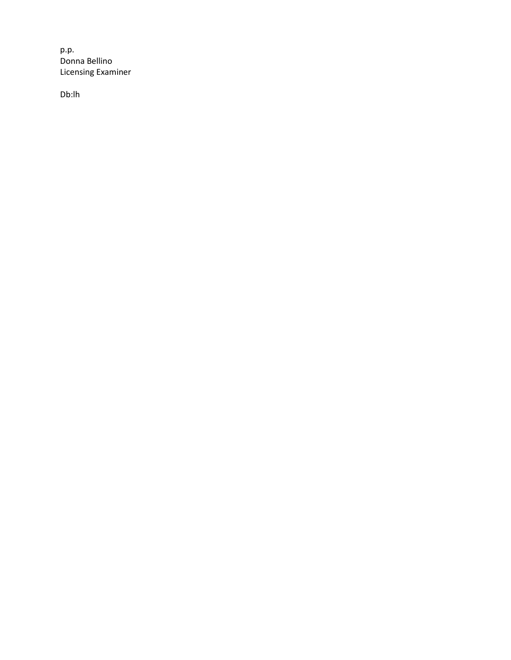p.p. Donna Bellino Licensing Examiner

Db:lh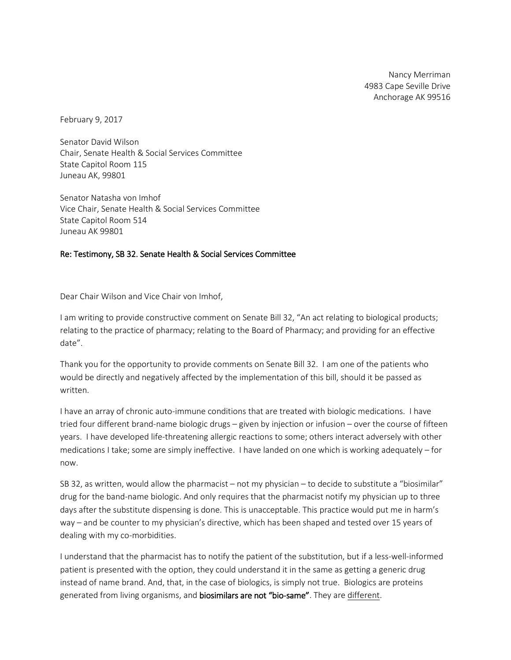Nancy Merriman 4983 Cape Seville Drive Anchorage AK 99516

February 9, 2017

Senator David Wilson Chair, Senate Health & Social Services Committee State Capitol Room 115 Juneau AK, 99801

Senator Natasha von Imhof Vice Chair, Senate Health & Social Services Committee **State Capitol Room 514** *0T*Juneau AK 99801

#### Re: Testimony, SB 32. Senate Health & Social Services Committee

Dear Chair Wilson and Vice Chair von Imhof,

I am writing to provide constructive comment on Senate Bill 32, "An act relating to biological products; relating to the practice of pharmacy; relating to the Board of Pharmacy; and providing for an effective date".

Thank you for the opportunity to provide comments on Senate Bill 32. I am one of the patients who would be directly and negatively affected by the implementation of this bill, should it be passed as written.

I have an array of chronic auto-immune conditions that are treated with biologic medications. I have tried four different brand-name biologic drugs – given by injection or infusion – over the course of fifteen years. I have developed life-threatening allergic reactions to some; others interact adversely with other medications I take; some are simply ineffective. I have landed on one which is working adequately – for now.

SB 32, as written, would allow the pharmacist – not my physician – to decide to substitute a "biosimilar" drug for the band-name biologic. And only requires that the pharmacist notify my physician up to three days after the substitute dispensing is done. This is unacceptable. This practice would put me in harm's way – and be counter to my physician's directive, which has been shaped and tested over 15 years of dealing with my co-morbidities.

I understand that the pharmacist has to notify the patient of the substitution, but if a less-well-informed patient is presented with the option, they could understand it in the same as getting a generic drug instead of name brand. And, that, in the case of biologics, is simply not true. Biologics are proteins generated from living organisms, and **biosimilars are not "bio-same"**. They are different.